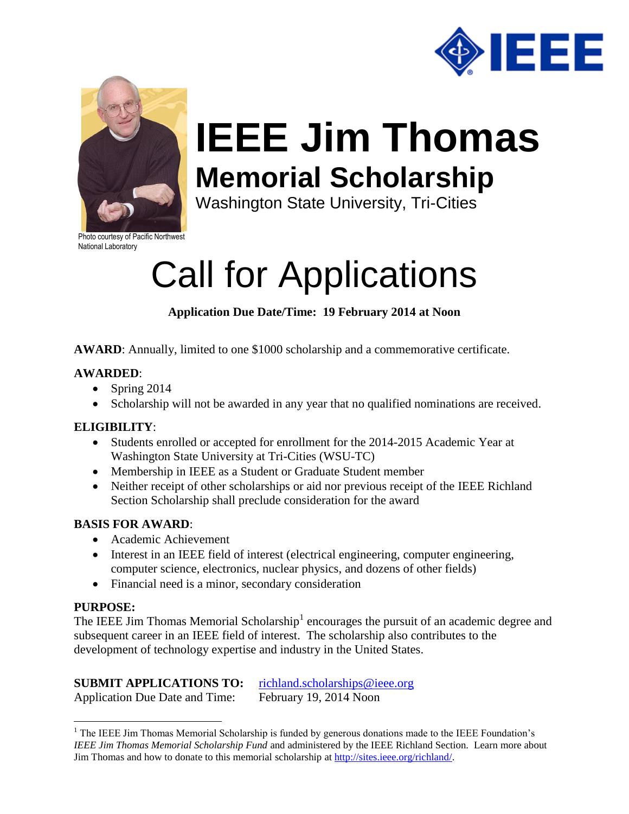



## **IEEE Jim Thomas Memorial Scholarship**

Washington State University, Tri-Cities

Photo courtesy of Pacific Northwest National Laboratory

# Call for Applications

#### **Application Due Date/Time: 19 February 2014 at Noon**

**AWARD**: Annually, limited to one \$1000 scholarship and a commemorative certificate.

#### **AWARDED**:

- Spring  $2014$
- Scholarship will not be awarded in any year that no qualified nominations are received.

#### **ELIGIBILITY**:

- Students enrolled or accepted for enrollment for the 2014-2015 Academic Year at Washington State University at Tri-Cities (WSU-TC)
- Membership in IEEE as a Student or Graduate Student member
- Neither receipt of other scholarships or aid nor previous receipt of the IEEE Richland Section Scholarship shall preclude consideration for the award

#### **BASIS FOR AWARD**:

- Academic Achievement
- Interest in an IEEE field of interest (electrical engineering, computer engineering, computer science, electronics, nuclear physics, and dozens of other fields)
- Financial need is a minor, secondary consideration

#### **PURPOSE:**

 $\overline{a}$ 

The IEEE Jim Thomas Memorial Scholarship<sup>1</sup> encourages the pursuit of an academic degree and subsequent career in an IEEE field of interest. The scholarship also contributes to the development of technology expertise and industry in the United States.

|  |  |  | <b>SUBMIT APPLICATIONS TO:</b> richland.so |  |
|--|--|--|--------------------------------------------|--|
|  |  |  |                                            |  |

cholarships@ieee.org Application Due Date and Time: February 19, 2014 Noon

 $<sup>1</sup>$  The IEEE Jim Thomas Memorial Scholarship is funded by generous donations made to the IEEE Foundation's</sup> *IEEE Jim Thomas Memorial Scholarship Fund* and administered by the IEEE Richland Section. Learn more about Jim Thomas and how to donate to this memorial scholarship a[t http://sites.ieee.org/richland/.](http://sites.ieee.org/richland/)